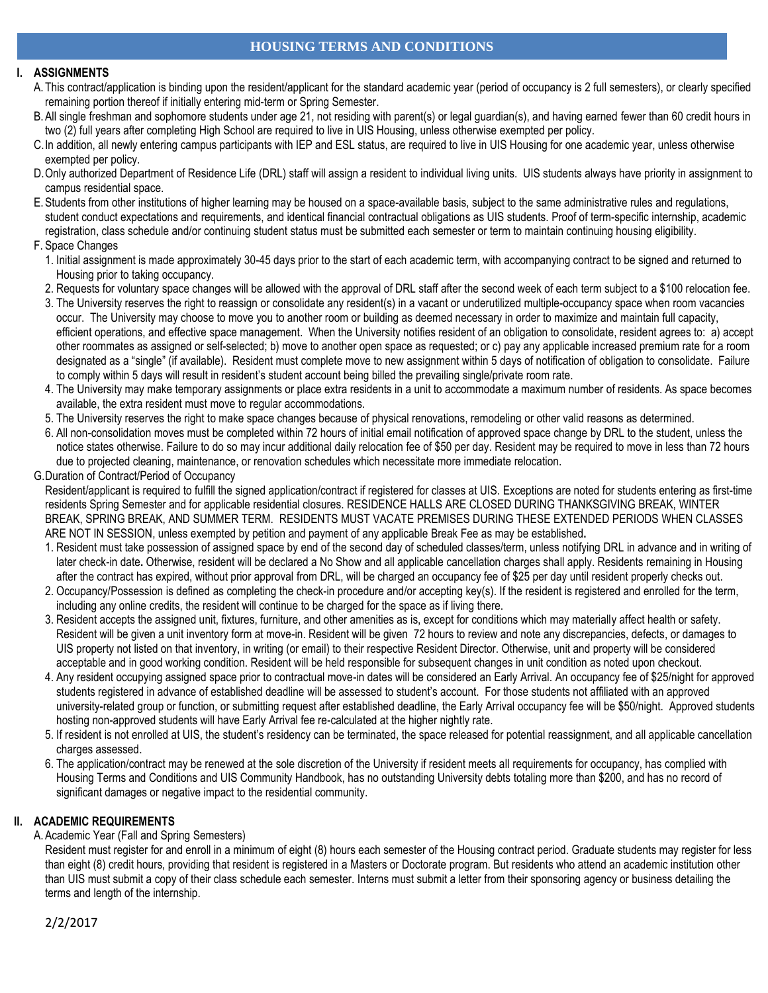## **HOUSING TERMS AND CONDITIONS**

### **I. ASSIGNMENTS**

- A. This contract/application is binding upon the resident/applicant for the standard academic year (period of occupancy is 2 full semesters), or clearly specified remaining portion thereof if initially entering mid-term or Spring Semester.
- B.All single freshman and sophomore students under age 21, not residing with parent(s) or legal guardian(s), and having earned fewer than 60 credit hours in two (2) full years after completing High School are required to live in UIS Housing, unless otherwise exempted per policy.
- C.In addition, all newly entering campus participants with IEP and ESL status, are required to live in UIS Housing for one academic year, unless otherwise exempted per policy.
- D.Only authorized Department of Residence Life (DRL) staff will assign a resident to individual living units. UIS students always have priority in assignment to campus residential space.
- E.Students from other institutions of higher learning may be housed on a space-available basis, subject to the same administrative rules and regulations, student conduct expectations and requirements, and identical financial contractual obligations as UIS students. Proof of term-specific internship, academic registration, class schedule and/or continuing student status must be submitted each semester or term to maintain continuing housing eligibility.

### F. Space Changes

- 1. Initial assignment is made approximately 30-45 days prior to the start of each academic term, with accompanying contract to be signed and returned to Housing prior to taking occupancy.
- 2. Requests for voluntary space changes will be allowed with the approval of DRL staff after the second week of each term subject to a \$100 relocation fee.
- 3. The University reserves the right to reassign or consolidate any resident(s) in a vacant or underutilized multiple-occupancy space when room vacancies occur. The University may choose to move you to another room or building as deemed necessary in order to maximize and maintain full capacity, efficient operations, and effective space management. When the University notifies resident of an obligation to consolidate, resident agrees to: a) accept other roommates as assigned or self-selected; b) move to another open space as requested; or c) pay any applicable increased premium rate for a room designated as a "single" (if available). Resident must complete move to new assignment within 5 days of notification of obligation to consolidate. Failure to comply within 5 days will result in resident's student account being billed the prevailing single/private room rate.
- 4. The University may make temporary assignments or place extra residents in a unit to accommodate a maximum number of residents. As space becomes available, the extra resident must move to regular accommodations.
- 5. The University reserves the right to make space changes because of physical renovations, remodeling or other valid reasons as determined.
- 6. All non-consolidation moves must be completed within 72 hours of initial email notification of approved space change by DRL to the student, unless the notice states otherwise. Failure to do so may incur additional daily relocation fee of \$50 per day. Resident may be required to move in less than 72 hours due to projected cleaning, maintenance, or renovation schedules which necessitate more immediate relocation.
- G.Duration of Contract/Period of Occupancy

Resident/applicant is required to fulfill the signed application/contract if registered for classes at UIS. Exceptions are noted for students entering as first-time residents Spring Semester and for applicable residential closures. RESIDENCE HALLS ARE CLOSED DURING THANKSGIVING BREAK, WINTER BREAK, SPRING BREAK, AND SUMMER TERM. RESIDENTS MUST VACATE PREMISES DURING THESE EXTENDED PERIODS WHEN CLASSES ARE NOT IN SESSION, unless exempted by petition and payment of any applicable Break Fee as may be established**.**

- 1. Resident must take possession of assigned space by end of the second day of scheduled classes/term, unless notifying DRL in advance and in writing of later check-in date**.** Otherwise, resident will be declared a No Show and all applicable cancellation charges shall apply. Residents remaining in Housing after the contract has expired, without prior approval from DRL, will be charged an occupancy fee of \$25 per day until resident properly checks out.
- 2. Occupancy/Possession is defined as completing the check-in procedure and/or accepting key(s). If the resident is registered and enrolled for the term, including any online credits, the resident will continue to be charged for the space as if living there.
- 3. Resident accepts the assigned unit, fixtures, furniture, and other amenities as is, except for conditions which may materially affect health or safety. Resident will be given a unit inventory form at move-in. Resident will be given 72 hours to review and note any discrepancies, defects, or damages to UIS property not listed on that inventory, in writing (or email) to their respective Resident Director. Otherwise, unit and property will be considered acceptable and in good working condition. Resident will be held responsible for subsequent changes in unit condition as noted upon checkout.
- 4. Any resident occupying assigned space prior to contractual move-in dates will be considered an Early Arrival. An occupancy fee of \$25/night for approved students registered in advance of established deadline will be assessed to student's account. For those students not affiliated with an approved university-related group or function, or submitting request after established deadline, the Early Arrival occupancy fee will be \$50/night. Approved students hosting non-approved students will have Early Arrival fee re-calculated at the higher nightly rate.
- 5. If resident is not enrolled at UIS, the student's residency can be terminated, the space released for potential reassignment, and all applicable cancellation charges assessed.
- 6. The application/contract may be renewed at the sole discretion of the University if resident meets all requirements for occupancy, has complied with Housing Terms and Conditions and UIS Community Handbook, has no outstanding University debts totaling more than \$200, and has no record of significant damages or negative impact to the residential community.

## **II. ACADEMIC REQUIREMENTS**

A.Academic Year (Fall and Spring Semesters)

Resident must register for and enroll in a minimum of eight (8) hours each semester of the Housing contract period. Graduate students may register for less than eight (8) credit hours, providing that resident is registered in a Masters or Doctorate program. But residents who attend an academic institution other than UIS must submit a copy of their class schedule each semester. Interns must submit a letter from their sponsoring agency or business detailing the terms and length of the internship.

2/2/2017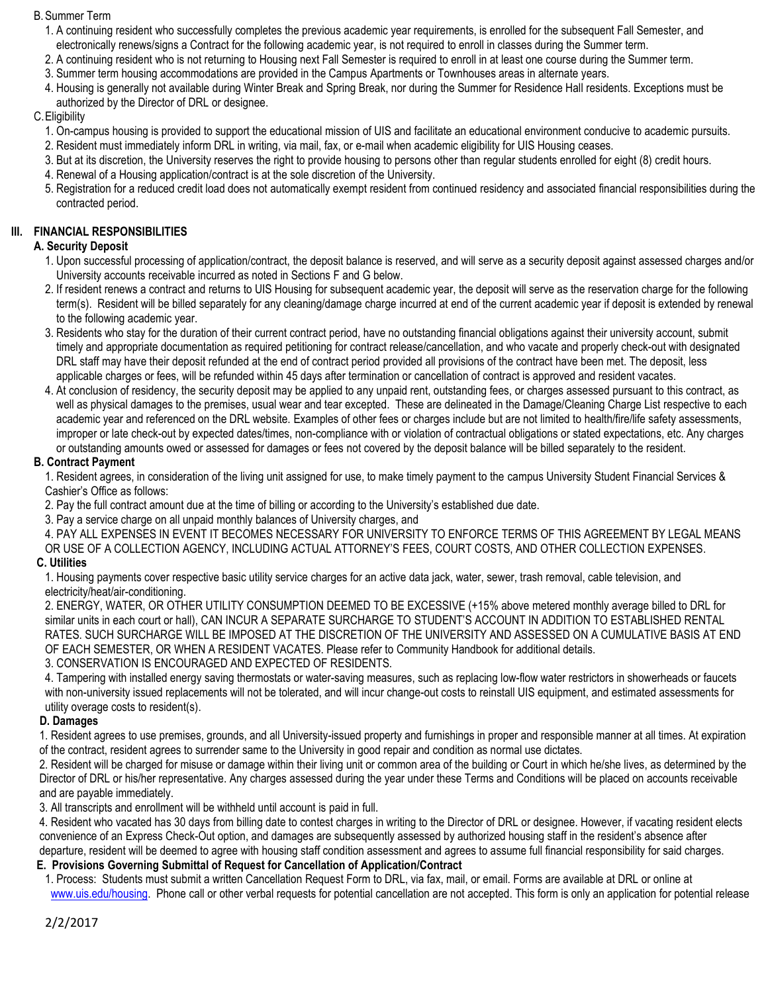### B.Summer Term

- 1. A continuing resident who successfully completes the previous academic year requirements, is enrolled for the subsequent Fall Semester, and electronically renews/signs a Contract for the following academic year, is not required to enroll in classes during the Summer term.
- 2. A continuing resident who is not returning to Housing next Fall Semester is required to enroll in at least one course during the Summer term.
- 3. Summer term housing accommodations are provided in the Campus Apartments or Townhouses areas in alternate years.
- 4. Housing is generally not available during Winter Break and Spring Break, nor during the Summer for Residence Hall residents. Exceptions must be authorized by the Director of DRL or designee.

## C.Eligibility

- 1. On-campus housing is provided to support the educational mission of UIS and facilitate an educational environment conducive to academic pursuits.
- 2. Resident must immediately inform DRL in writing, via mail, fax, or e-mail when academic eligibility for UIS Housing ceases.
- 3. But at its discretion, the University reserves the right to provide housing to persons other than regular students enrolled for eight (8) credit hours.
- 4. Renewal of a Housing application/contract is at the sole discretion of the University.
- 5. Registration for a reduced credit load does not automatically exempt resident from continued residency and associated financial responsibilities during the contracted period.

## **III. FINANCIAL RESPONSIBILITIES**

## **A. Security Deposit**

- 1. Upon successful processing of application/contract, the deposit balance is reserved, and will serve as a security deposit against assessed charges and/or University accounts receivable incurred as noted in Sections F and G below.
- 2. If resident renews a contract and returns to UIS Housing for subsequent academic year, the deposit will serve as the reservation charge for the following term(s). Resident will be billed separately for any cleaning/damage charge incurred at end of the current academic year if deposit is extended by renewal to the following academic year.
- 3. Residents who stay for the duration of their current contract period, have no outstanding financial obligations against their university account, submit timely and appropriate documentation as required petitioning for contract release/cancellation, and who vacate and properly check-out with designated DRL staff may have their deposit refunded at the end of contract period provided all provisions of the contract have been met. The deposit, less applicable charges or fees, will be refunded within 45 days after termination or cancellation of contract is approved and resident vacates.
- 4. At conclusion of residency, the security deposit may be applied to any unpaid rent, outstanding fees, or charges assessed pursuant to this contract, as well as physical damages to the premises, usual wear and tear excepted. These are delineated in the Damage/Cleaning Charge List respective to each academic year and referenced on the DRL website. Examples of other fees or charges include but are not limited to health/fire/life safety assessments, improper or late check-out by expected dates/times, non-compliance with or violation of contractual obligations or stated expectations, etc. Any charges or outstanding amounts owed or assessed for damages or fees not covered by the deposit balance will be billed separately to the resident.

## **B. Contract Payment**

1. Resident agrees, in consideration of the living unit assigned for use, to make timely payment to the campus University Student Financial Services & Cashier's Office as follows:

2. Pay the full contract amount due at the time of billing or according to the University's established due date.

3. Pay a service charge on all unpaid monthly balances of University charges, and

4. PAY ALL EXPENSES IN EVENT IT BECOMES NECESSARY FOR UNIVERSITY TO ENFORCE TERMS OF THIS AGREEMENT BY LEGAL MEANS OR USE OF A COLLECTION AGENCY, INCLUDING ACTUAL ATTORNEY'S FEES, COURT COSTS, AND OTHER COLLECTION EXPENSES.

## **C. Utilities**

1. Housing payments cover respective basic utility service charges for an active data jack, water, sewer, trash removal, cable television, and electricity/heat/air-conditioning.

2. ENERGY, WATER, OR OTHER UTILITY CONSUMPTION DEEMED TO BE EXCESSIVE (+15% above metered monthly average billed to DRL for similar units in each court or hall), CAN INCUR A SEPARATE SURCHARGE TO STUDENT'S ACCOUNT IN ADDITION TO ESTABLISHED RENTAL RATES. SUCH SURCHARGE WILL BE IMPOSED AT THE DISCRETION OF THE UNIVERSITY AND ASSESSED ON A CUMULATIVE BASIS AT END OF EACH SEMESTER, OR WHEN A RESIDENT VACATES. Please refer to Community Handbook for additional details. 3. CONSERVATION IS ENCOURAGED AND EXPECTED OF RESIDENTS.

4. Tampering with installed energy saving thermostats or water-saving measures, such as replacing low-flow water restrictors in showerheads or faucets with non-university issued replacements will not be tolerated, and will incur change-out costs to reinstall UIS equipment, and estimated assessments for utility overage costs to resident(s).

## **D. Damages**

1. Resident agrees to use premises, grounds, and all University-issued property and furnishings in proper and responsible manner at all times. At expiration of the contract, resident agrees to surrender same to the University in good repair and condition as normal use dictates.

2. Resident will be charged for misuse or damage within their living unit or common area of the building or Court in which he/she lives, as determined by the Director of DRL or his/her representative. Any charges assessed during the year under these Terms and Conditions will be placed on accounts receivable and are payable immediately.

3. All transcripts and enrollment will be withheld until account is paid in full.

4. Resident who vacated has 30 days from billing date to contest charges in writing to the Director of DRL or designee. However, if vacating resident elects convenience of an Express Check-Out option, and damages are subsequently assessed by authorized housing staff in the resident's absence after departure, resident will be deemed to agree with housing staff condition assessment and agrees to assume full financial responsibility for said charges.

## **E. Provisions Governing Submittal of Request for Cancellation of Application/Contract**

 1. Process: Students must submit a written Cancellation Request Form to DRL, via fax, mail, or email. Forms are available at DRL or online at [www.uis.edu/housing.](http://www.uis.edu/housing) Phone call or other verbal requests for potential cancellation are not accepted. This form is only an application for potential release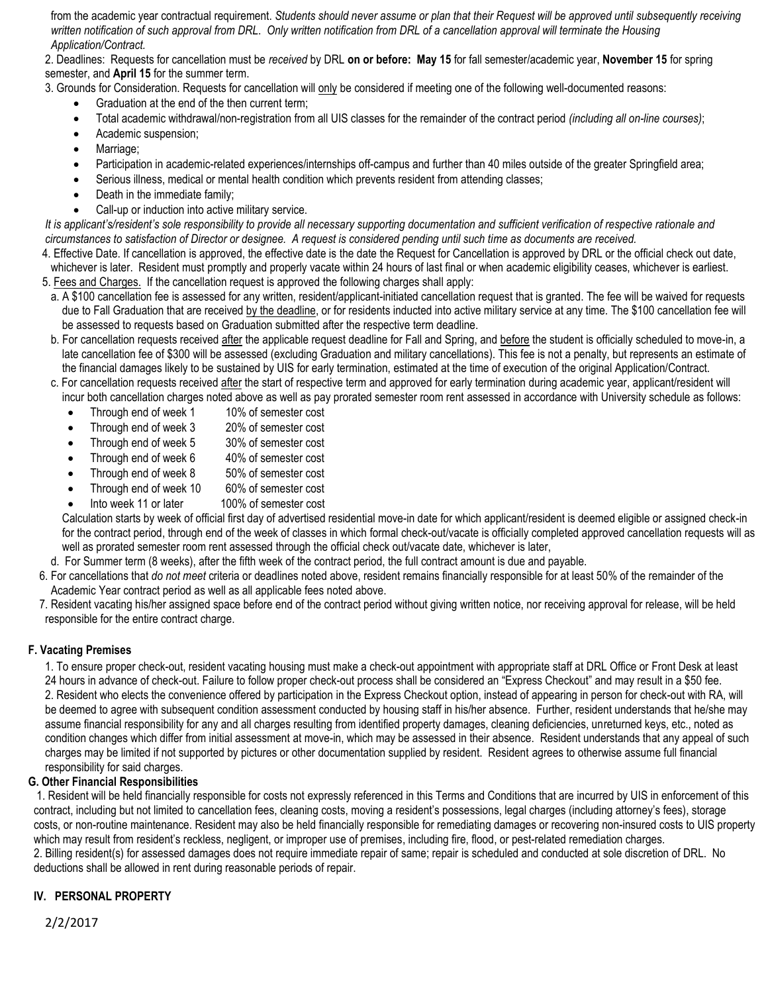from the academic year contractual requirement. *Students should never assume or plan that their Request will be approved until subsequently receiving written notification of such approval from DRL*. *Only written notification from DRL of a cancellation approval will terminate the Housing Application/Contract.*

2. Deadlines: Requests for cancellation must be *received* by DRL **on or before: May 15** for fall semester/academic year, **November 15** for spring semester, and **April 15** for the summer term.

3. Grounds for Consideration. Requests for cancellation will only be considered if meeting one of the following well-documented reasons:

- Graduation at the end of the then current term;
- Total academic withdrawal/non-registration from all UIS classes for the remainder of the contract period *(including all on-line courses)*;
- Academic suspension;
- Marriage:
- Participation in academic-related experiences/internships off-campus and further than 40 miles outside of the greater Springfield area;
- Serious illness, medical or mental health condition which prevents resident from attending classes;
- Death in the immediate family:
- Call-up or induction into active military service.

*It is applicant's/resident's sole responsibility to provide all necessary supporting documentation and sufficient verification of respective rationale and circumstances to satisfaction of Director or designee. A request is considered pending until such time as documents are received.* 

- 4. Effective Date. If cancellation is approved, the effective date is the date the Request for Cancellation is approved by DRL or the official check out date, whichever is later. Resident must promptly and properly vacate within 24 hours of last final or when academic eligibility ceases, whichever is earliest.
- 5. Fees and Charges. If the cancellation request is approved the following charges shall apply:
- a. A \$100 cancellation fee is assessed for any written, resident/applicant-initiated cancellation request that is granted. The fee will be waived for requests due to Fall Graduation that are received by the deadline, or for residents inducted into active military service at any time. The \$100 cancellation fee will be assessed to requests based on Graduation submitted after the respective term deadline.
- b. For cancellation requests received after the applicable request deadline for Fall and Spring, and before the student is officially scheduled to move-in, a late cancellation fee of \$300 will be assessed (excluding Graduation and military cancellations). This fee is not a penalty, but represents an estimate of the financial damages likely to be sustained by UIS for early termination, estimated at the time of execution of the original Application/Contract.
- c. For cancellation requests received after the start of respective term and approved for early termination during academic year, applicant/resident will incur both cancellation charges noted above as well as pay prorated semester room rent assessed in accordance with University schedule as follows:
	- Through end of week 1 10% of semester cost
	- Through end of week 3 20% of semester cost
	- Through end of week 5 30% of semester cost
	- Through end of week 6 40% of semester cost
	- Through end of week 8 50% of semester cost
	- Through end of week 10 60% of semester cost
	- Into week 11 or later 100% of semester cost

Calculation starts by week of official first day of advertised residential move-in date for which applicant/resident is deemed eligible or assigned check-in for the contract period, through end of the week of classes in which formal check-out/vacate is officially completed approved cancellation requests will as well as prorated semester room rent assessed through the official check out/vacate date, whichever is later,

- d. For Summer term (8 weeks), after the fifth week of the contract period, the full contract amount is due and payable.
- 6. For cancellations that *do not meet* criteria or deadlines noted above, resident remains financially responsible for at least 50% of the remainder of the Academic Year contract period as well as all applicable fees noted above.
- 7. Resident vacating his/her assigned space before end of the contract period without giving written notice, nor receiving approval for release, will be held responsible for the entire contract charge.

### **F. Vacating Premises**

1. To ensure proper check-out, resident vacating housing must make a check-out appointment with appropriate staff at DRL Office or Front Desk at least 24 hours in advance of check-out. Failure to follow proper check-out process shall be considered an "Express Checkout" and may result in a \$50 fee. 2. Resident who elects the convenience offered by participation in the Express Checkout option, instead of appearing in person for check-out with RA, will be deemed to agree with subsequent condition assessment conducted by housing staff in his/her absence. Further, resident understands that he/she may assume financial responsibility for any and all charges resulting from identified property damages, cleaning deficiencies, unreturned keys, etc., noted as condition changes which differ from initial assessment at move-in, which may be assessed in their absence. Resident understands that any appeal of such charges may be limited if not supported by pictures or other documentation supplied by resident. Resident agrees to otherwise assume full financial responsibility for said charges.

### **G. Other Financial Responsibilities**

1. Resident will be held financially responsible for costs not expressly referenced in this Terms and Conditions that are incurred by UIS in enforcement of this contract, including but not limited to cancellation fees, cleaning costs, moving a resident's possessions, legal charges (including attorney's fees), storage costs, or non-routine maintenance. Resident may also be held financially responsible for remediating damages or recovering non-insured costs to UIS property which may result from resident's reckless, negligent, or improper use of premises, including fire, flood, or pest-related remediation charges. 2. Billing resident(s) for assessed damages does not require immediate repair of same; repair is scheduled and conducted at sole discretion of DRL. No deductions shall be allowed in rent during reasonable periods of repair.

## **IV. PERSONAL PROPERTY**

2/2/2017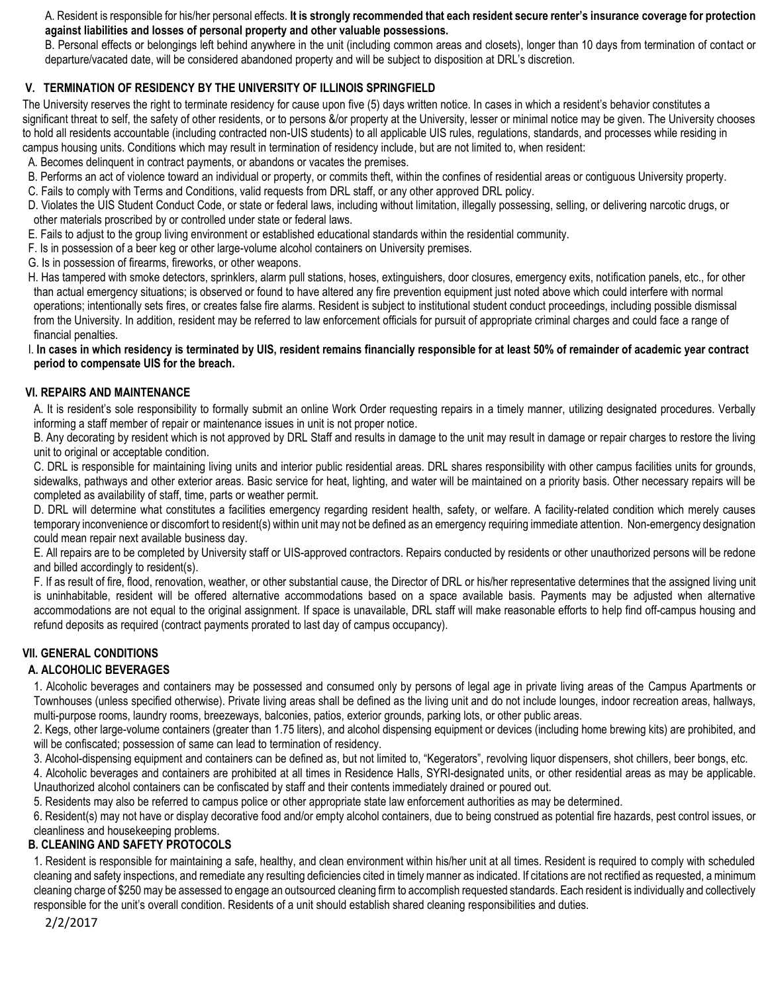A. Resident is responsible for his/her personal effects. **It is strongly recommended that each resident secure renter's insurance coverage for protection against liabilities and losses of personal property and other valuable possessions.**

B. Personal effects or belongings left behind anywhere in the unit (including common areas and closets), longer than 10 days from termination of contact or departure/vacated date, will be considered abandoned property and will be subject to disposition at DRL's discretion.

# **V. TERMINATION OF RESIDENCY BY THE UNIVERSITY OF ILLINOIS SPRINGFIELD**

The University reserves the right to terminate residency for cause upon five (5) days written notice. In cases in which a resident's behavior constitutes a significant threat to self, the safety of other residents, or to persons &/or property at the University, lesser or minimal notice may be given. The University chooses to hold all residents accountable (including contracted non-UIS students) to all applicable UIS rules, regulations, standards, and processes while residing in campus housing units. Conditions which may result in termination of residency include, but are not limited to, when resident:

- A. Becomes delinquent in contract payments, or abandons or vacates the premises.
- B. Performs an act of violence toward an individual or property, or commits theft, within the confines of residential areas or contiguous University property.
- C. Fails to comply with Terms and Conditions, valid requests from DRL staff, or any other approved DRL policy.
- D. Violates the UIS Student Conduct Code, or state or federal laws, including without limitation, illegally possessing, selling, or delivering narcotic drugs, or other materials proscribed by or controlled under state or federal laws.
- E. Fails to adjust to the group living environment or established educational standards within the residential community.
- F. Is in possession of a beer keg or other large-volume alcohol containers on University premises.
- G. Is in possession of firearms, fireworks, or other weapons.
- H. Has tampered with smoke detectors, sprinklers, alarm pull stations, hoses, extinguishers, door closures, emergency exits, notification panels, etc., for other than actual emergency situations; is observed or found to have altered any fire prevention equipment just noted above which could interfere with normal operations; intentionally sets fires, or creates false fire alarms. Resident is subject to institutional student conduct proceedings, including possible dismissal from the University. In addition, resident may be referred to law enforcement officials for pursuit of appropriate criminal charges and could face a range of financial penalties.
- I. **In cases in which residency is terminated by UIS, resident remains financially responsible for at least 50% of remainder of academic year contract period to compensate UIS for the breach.**

## **VI. REPAIRS AND MAINTENANCE**

 A. It is resident's sole responsibility to formally submit an online Work Order requesting repairs in a timely manner, utilizing designated procedures. Verbally informing a staff member of repair or maintenance issues in unit is not proper notice.

 B. Any decorating by resident which is not approved by DRL Staff and results in damage to the unit may result in damage or repair charges to restore the living unit to original or acceptable condition.

C. DRL is responsible for maintaining living units and interior public residential areas. DRL shares responsibility with other campus facilities units for grounds, sidewalks, pathways and other exterior areas. Basic service for heat, lighting, and water will be maintained on a priority basis. Other necessary repairs will be completed as availability of staff, time, parts or weather permit.

D. DRL will determine what constitutes a facilities emergency regarding resident health, safety, or welfare. A facility-related condition which merely causes temporary inconvenience or discomfort to resident(s) within unit may not be defined as an emergency requiring immediate attention. Non-emergency designation could mean repair next available business day.

E. All repairs are to be completed by University staff or UIS-approved contractors. Repairs conducted by residents or other unauthorized persons will be redone and billed accordingly to resident(s).

F. If as result of fire, flood, renovation, weather, or other substantial cause, the Director of DRL or his/her representative determines that the assigned living unit is uninhabitable, resident will be offered alternative accommodations based on a space available basis. Payments may be adjusted when alternative accommodations are not equal to the original assignment. If space is unavailable, DRL staff will make reasonable efforts to help find off-campus housing and refund deposits as required (contract payments prorated to last day of campus occupancy).

## **VII. GENERAL CONDITIONS**

## **A. ALCOHOLIC BEVERAGES**

1. Alcoholic beverages and containers may be possessed and consumed only by persons of legal age in private living areas of the Campus Apartments or Townhouses (unless specified otherwise). Private living areas shall be defined as the living unit and do not include lounges, indoor recreation areas, hallways, multi-purpose rooms, laundry rooms, breezeways, balconies, patios, exterior grounds, parking lots, or other public areas.

2. Kegs, other large-volume containers (greater than 1.75 liters), and alcohol dispensing equipment or devices (including home brewing kits) are prohibited, and will be confiscated; possession of same can lead to termination of residency.

3. Alcohol-dispensing equipment and containers can be defined as, but not limited to, "Kegerators", revolving liquor dispensers, shot chillers, beer bongs, etc.

4. Alcoholic beverages and containers are prohibited at all times in Residence Halls, SYRI-designated units, or other residential areas as may be applicable. Unauthorized alcohol containers can be confiscated by staff and their contents immediately drained or poured out.

5. Residents may also be referred to campus police or other appropriate state law enforcement authorities as may be determined.

6. Resident(s) may not have or display decorative food and/or empty alcohol containers, due to being construed as potential fire hazards, pest control issues, or cleanliness and housekeeping problems.

## **B. CLEANING AND SAFETY PROTOCOLS**

 1. Resident is responsible for maintaining a safe, healthy, and clean environment within his/her unit at all times. Resident is required to comply with scheduled cleaning and safety inspections, and remediate any resulting deficiencies cited in timely manner as indicated. If citations are not rectified as requested, a minimum cleaning charge of \$250 may be assessed to engage an outsourced cleaning firm to accomplish requested standards. Each resident is individually and collectively responsible for the unit's overall condition. Residents of a unit should establish shared cleaning responsibilities and duties.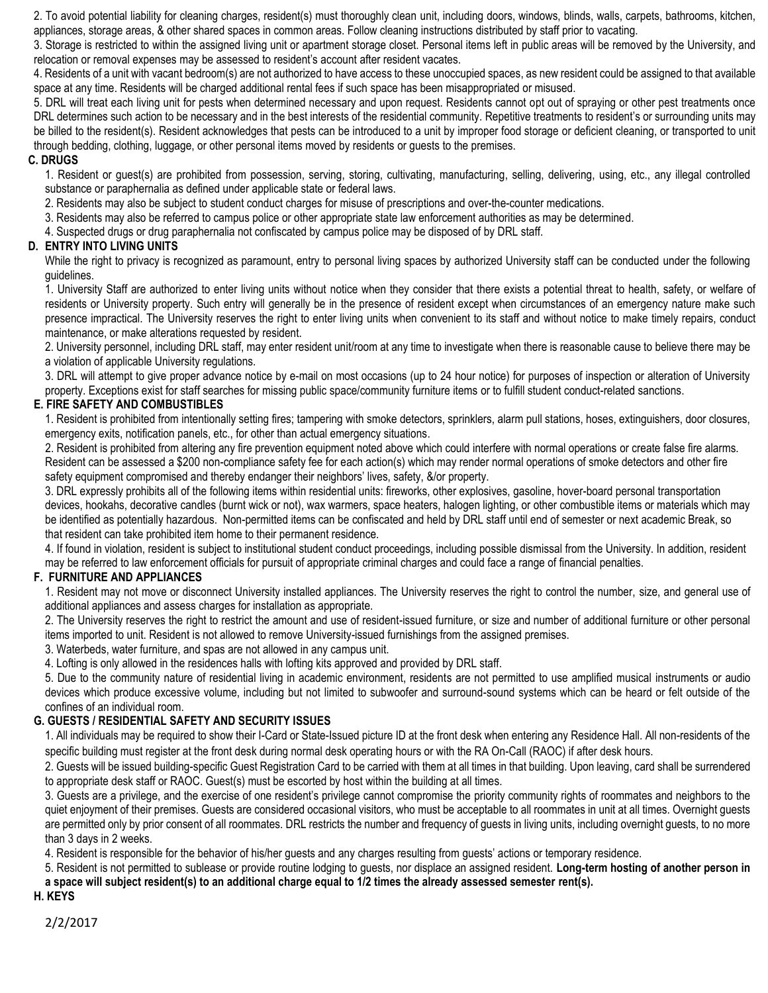2. To avoid potential liability for cleaning charges, resident(s) must thoroughly clean unit, including doors, windows, blinds, walls, carpets, bathrooms, kitchen, appliances, storage areas, & other shared spaces in common areas. Follow cleaning instructions distributed by staff prior to vacating.

 3. Storage is restricted to within the assigned living unit or apartment storage closet. Personal items left in public areas will be removed by the University, and relocation or removal expenses may be assessed to resident's account after resident vacates.

 4. Residents of a unit with vacant bedroom(s) are not authorized to have access to these unoccupied spaces, as new resident could be assigned to that available space at any time. Residents will be charged additional rental fees if such space has been misappropriated or misused.

 5. DRL will treat each living unit for pests when determined necessary and upon request. Residents cannot opt out of spraying or other pest treatments once DRL determines such action to be necessary and in the best interests of the residential community. Repetitive treatments to resident's or surrounding units may be billed to the resident(s). Resident acknowledges that pests can be introduced to a unit by improper food storage or deficient cleaning, or transported to unit through bedding, clothing, luggage, or other personal items moved by residents or guests to the premises.

### **C. DRUGS**

1. Resident or guest(s) are prohibited from possession, serving, storing, cultivating, manufacturing, selling, delivering, using, etc., any illegal controlled substance or paraphernalia as defined under applicable state or federal laws.

2. Residents may also be subject to student conduct charges for misuse of prescriptions and over-the-counter medications.

3. Residents may also be referred to campus police or other appropriate state law enforcement authorities as may be determined.

4. Suspected drugs or drug paraphernalia not confiscated by campus police may be disposed of by DRL staff.

### **D. ENTRY INTO LIVING UNITS**

While the right to privacy is recognized as paramount, entry to personal living spaces by authorized University staff can be conducted under the following guidelines.

1. University Staff are authorized to enter living units without notice when they consider that there exists a potential threat to health, safety, or welfare of residents or University property. Such entry will generally be in the presence of resident except when circumstances of an emergency nature make such presence impractical. The University reserves the right to enter living units when convenient to its staff and without notice to make timely repairs, conduct maintenance, or make alterations requested by resident.

2. University personnel, including DRL staff, may enter resident unit/room at any time to investigate when there is reasonable cause to believe there may be a violation of applicable University regulations.

3. DRL will attempt to give proper advance notice by e-mail on most occasions (up to 24 hour notice) for purposes of inspection or alteration of University property. Exceptions exist for staff searches for missing public space/community furniture items or to fulfill student conduct-related sanctions.

## **E. FIRE SAFETY AND COMBUSTIBLES**

1. Resident is prohibited from intentionally setting fires; tampering with smoke detectors, sprinklers, alarm pull stations, hoses, extinguishers, door closures, emergency exits, notification panels, etc., for other than actual emergency situations.

 2. Resident is prohibited from altering any fire prevention equipment noted above which could interfere with normal operations or create false fire alarms. Resident can be assessed a \$200 non-compliance safety fee for each action(s) which may render normal operations of smoke detectors and other fire safety equipment compromised and thereby endanger their neighbors' lives, safety, &/or property.

3. DRL expressly prohibits all of the following items within residential units: fireworks, other explosives, gasoline, hover-board personal transportation devices, hookahs, decorative candles (burnt wick or not), wax warmers, space heaters, halogen lighting, or other combustible items or materials which may be identified as potentially hazardous. Non-permitted items can be confiscated and held by DRL staff until end of semester or next academic Break, so that resident can take prohibited item home to their permanent residence.

 4. If found in violation, resident is subject to institutional student conduct proceedings, including possible dismissal from the University. In addition, resident may be referred to law enforcement officials for pursuit of appropriate criminal charges and could face a range of financial penalties.

## **F. FURNITURE AND APPLIANCES**

1. Resident may not move or disconnect University installed appliances. The University reserves the right to control the number, size, and general use of additional appliances and assess charges for installation as appropriate.

2. The University reserves the right to restrict the amount and use of resident-issued furniture, or size and number of additional furniture or other personal items imported to unit. Resident is not allowed to remove University-issued furnishings from the assigned premises.

3. Waterbeds, water furniture, and spas are not allowed in any campus unit.

4. Lofting is only allowed in the residences halls with lofting kits approved and provided by DRL staff.

5. Due to the community nature of residential living in academic environment, residents are not permitted to use amplified musical instruments or audio devices which produce excessive volume, including but not limited to subwoofer and surround-sound systems which can be heard or felt outside of the confines of an individual room.

## **G. GUESTS / RESIDENTIAL SAFETY AND SECURITY ISSUES**

1. All individuals may be required to show their I-Card or State-Issued picture ID at the front desk when entering any Residence Hall. All non-residents of the specific building must register at the front desk during normal desk operating hours or with the RA On-Call (RAOC) if after desk hours.

2. Guests will be issued building-specific Guest Registration Card to be carried with them at all times in that building. Upon leaving, card shall be surrendered to appropriate desk staff or RAOC. Guest(s) must be escorted by host within the building at all times.

3. Guests are a privilege, and the exercise of one resident's privilege cannot compromise the priority community rights of roommates and neighbors to the quiet enjoyment of their premises. Guests are considered occasional visitors, who must be acceptable to all roommates in unit at all times. Overnight guests are permitted only by prior consent of all roommates. DRL restricts the number and frequency of guests in living units, including overnight guests, to no more than 3 days in 2 weeks.

4. Resident is responsible for the behavior of his/her guests and any charges resulting from guests' actions or temporary residence.

5. Resident is not permitted to sublease or provide routine lodging to guests, nor displace an assigned resident. **Long-term hosting of another person in a space will subject resident(s) to an additional charge equal to 1/2 times the already assessed semester rent(s).**

**H. KEYS**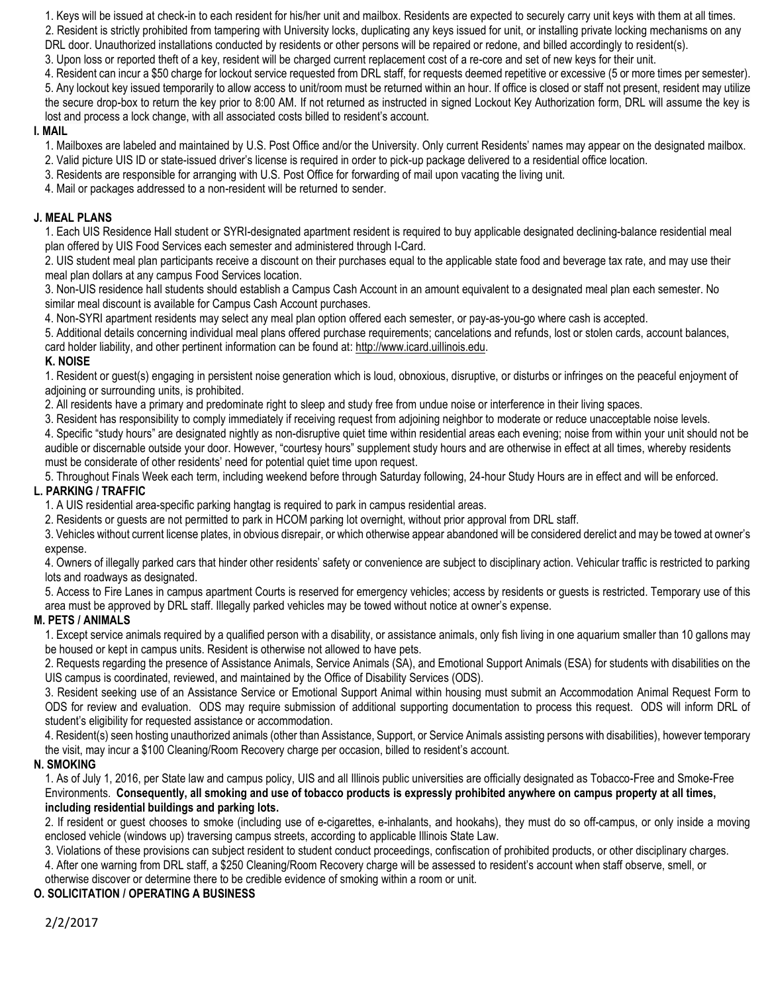1. Keys will be issued at check-in to each resident for his/her unit and mailbox. Residents are expected to securely carry unit keys with them at all times.

2. Resident is strictly prohibited from tampering with University locks, duplicating any keys issued for unit, or installing private locking mechanisms on any DRL door. Unauthorized installations conducted by residents or other persons will be repaired or redone, and billed accordingly to resident(s).

3. Upon loss or reported theft of a key, resident will be charged current replacement cost of a re-core and set of new keys for their unit.

4. Resident can incur a \$50 charge for lockout service requested from DRL staff, for requests deemed repetitive or excessive (5 or more times per semester). 5. Any lockout key issued temporarily to allow access to unit/room must be returned within an hour. If office is closed or staff not present, resident may utilize the secure drop-box to return the key prior to 8:00 AM. If not returned as instructed in signed Lockout Key Authorization form, DRL will assume the key is lost and process a lock change, with all associated costs billed to resident's account.

## **I. MAIL**

1. Mailboxes are labeled and maintained by U.S. Post Office and/or the University. Only current Residents' names may appear on the designated mailbox.

- 2. Valid picture UIS ID or state-issued driver's license is required in order to pick-up package delivered to a residential office location.
- 3. Residents are responsible for arranging with U.S. Post Office for forwarding of mail upon vacating the living unit.

4. Mail or packages addressed to a non-resident will be returned to sender.

# **J. MEAL PLANS**

1. Each UIS Residence Hall student or SYRI-designated apartment resident is required to buy applicable designated declining-balance residential meal plan offered by UIS Food Services each semester and administered through I-Card.

2. UIS student meal plan participants receive a discount on their purchases equal to the applicable state food and beverage tax rate, and may use their meal plan dollars at any campus Food Services location.

3. Non-UIS residence hall students should establish a Campus Cash Account in an amount equivalent to a designated meal plan each semester. No similar meal discount is available for Campus Cash Account purchases.

4. Non-SYRI apartment residents may select any meal plan option offered each semester, or pay-as-you-go where cash is accepted.

5. Additional details concerning individual meal plans offered purchase requirements; cancelations and refunds, lost or stolen cards, account balances, card holder liability, and other pertinent information can be found at[: http://www.icard.uillinois.edu.](http://www.icard.uillinois.edu/)

# **K. NOISE**

1. Resident or guest(s) engaging in persistent noise generation which is loud, obnoxious, disruptive, or disturbs or infringes on the peaceful enjoyment of adjoining or surrounding units, is prohibited.

2. All residents have a primary and predominate right to sleep and study free from undue noise or interference in their living spaces.

3. Resident has responsibility to comply immediately if receiving request from adjoining neighbor to moderate or reduce unacceptable noise levels.

4. Specific "study hours" are designated nightly as non-disruptive quiet time within residential areas each evening; noise from within your unit should not be audible or discernable outside your door. However, "courtesy hours" supplement study hours and are otherwise in effect at all times, whereby residents must be considerate of other residents' need for potential quiet time upon request.

5. Throughout Finals Week each term, including weekend before through Saturday following, 24-hour Study Hours are in effect and will be enforced.

# **L. PARKING / TRAFFIC**

1. A UIS residential area-specific parking hangtag is required to park in campus residential areas.

2. Residents or guests are not permitted to park in HCOM parking lot overnight, without prior approval from DRL staff.

3. Vehicles without current license plates, in obvious disrepair, or which otherwise appear abandoned will be considered derelict and may be towed at owner's expense.

4. Owners of illegally parked cars that hinder other residents' safety or convenience are subject to disciplinary action. Vehicular traffic is restricted to parking lots and roadways as designated.

5. Access to Fire Lanes in campus apartment Courts is reserved for emergency vehicles; access by residents or guests is restricted. Temporary use of this area must be approved by DRL staff. Illegally parked vehicles may be towed without notice at owner's expense.

# **M. PETS / ANIMALS**

1. Except service animals required by a qualified person with a disability, or assistance animals, only fish living in one aquarium smaller than 10 gallons may be housed or kept in campus units. Resident is otherwise not allowed to have pets.

2. Requests regarding the presence of Assistance Animals, Service Animals (SA), and Emotional Support Animals (ESA) for students with disabilities on the UIS campus is coordinated, reviewed, and maintained by the Office of Disability Services (ODS).

3. Resident seeking use of an Assistance Service or Emotional Support Animal within housing must submit an Accommodation Animal Request Form to ODS for review and evaluation. ODS may require submission of additional supporting documentation to process this request. ODS will inform DRL of student's eligibility for requested assistance or accommodation.

4. Resident(s) seen hosting unauthorized animals (other than Assistance, Support, or Service Animals assisting persons with disabilities), however temporary the visit, may incur a \$100 Cleaning/Room Recovery charge per occasion, billed to resident's account.

# **N. SMOKING**

1. As of July 1, 2016, per State law and campus policy, UIS and all Illinois public universities are officially designated as Tobacco-Free and Smoke-Free Environments. **Consequently, all smoking and use of tobacco products is expressly prohibited anywhere on campus property at all times, including residential buildings and parking lots.**

2. If resident or guest chooses to smoke (including use of e-cigarettes, e-inhalants, and hookahs), they must do so off-campus, or only inside a moving enclosed vehicle (windows up) traversing campus streets, according to applicable Illinois State Law.

3. Violations of these provisions can subject resident to student conduct proceedings, confiscation of prohibited products, or other disciplinary charges.

4. After one warning from DRL staff, a \$250 Cleaning/Room Recovery charge will be assessed to resident's account when staff observe, smell, or

otherwise discover or determine there to be credible evidence of smoking within a room or unit.

# **O. SOLICITATION / OPERATING A BUSINESS**